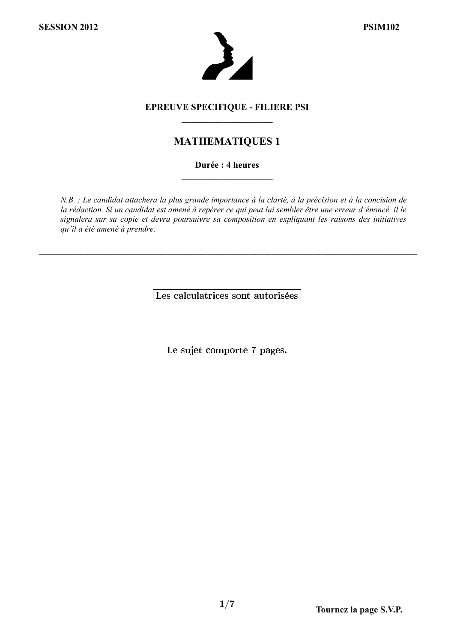

#### **EPREUVE SPECIFIQUE - FILIERE PSI** \_\_\_\_\_\_\_\_\_\_\_\_\_\_\_\_\_\_\_\_

## **MATHEMATIQUES 1**

#### **Durée : 4 heures** \_\_\_\_\_\_\_\_\_\_\_\_\_\_\_\_\_\_\_\_

*N.B. : Le candidat attachera la plus grande importance à la clarté, à la précision et à la concision de la rédaction. Si un candidat est amené à repérer ce qui peut lui sembler être une erreur d'énoncé, il le signalera sur sa copie et devra poursuivre sa composition en expliquant les raisons des initiatives qu'il a été amené à prendre.*

Les calculatrices sont autorisées

\_\_\_\_\_\_\_\_\_\_\_\_\_\_\_\_\_\_\_\_\_\_\_\_\_\_\_\_\_\_\_\_\_\_\_\_\_\_\_\_\_\_\_\_\_\_\_\_\_\_\_\_\_\_\_\_\_\_\_\_\_\_\_\_\_\_\_\_\_\_\_\_\_\_\_\_\_\_\_\_\_\_\_

Le sujet comporte 7 pages.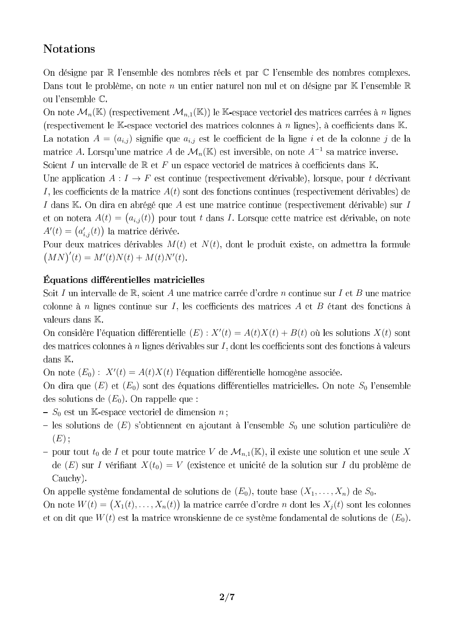# **Notations**

On désigne par  $\mathbb R$  l'ensemble des nombres réels et par  $\mathbb C$  l'ensemble des nombres complexes. Dans tout le problème, on note n un entier naturel non nul et on désigne par  $K$  l'ensemble  $R$ ou l'ensemble $\mathbb C.$ 

On note  $\mathcal{M}_n(\mathbb{K})$  (respectivement  $\mathcal{M}_{n,1}(\mathbb{K})$ ) le K-espace vectoriel des matrices carrées à n lignes (respectivement le  $K$ -espace vectoriel des matrices colonnes à  $n$  lignes), à coefficients dans  $K$ . La notation  $A = (a_{i,j})$  signifie que  $a_{i,j}$  est le coefficient de la ligne i et de la colonne j de la matrice A. Lorsqu'une matrice A de  $\mathcal{M}_n(\mathbb{K})$  est inversible, on note  $A^{-1}$  sa matrice inverse. Soient  $I$  un intervalle de  $\mathbb R$  et  $F$  un espace vectoriel de matrices à coefficients dans  $\mathbb K$ .

Une application  $A: I \to F$  est continue (respectivement dérivable), lorsque, pour t décrivant I, les coefficients de la matrice  $A(t)$  sont des fonctions continues (respectivement dérivables) de I dans  $K$ . On dira en abrégé que A est une matrice continue (respectivement dérivable) sur I  $A(t) = (a_{i,j}(t))$  pour tout t dans I  $A'(t) = (a'_{i,j}(t))$ 

Pour deux matrices dérivables  $M(t)$  et  $N(t)$ , dont le produit existe, on admettra la formule  $(MN)'(t) = M'(t)N(t) + M(t)N'(t)$ 

### Équations différentielles matricielles

Soit I un intervalle de  $\mathbb{R}$ , soient A une matrice carrée d'ordre n continue sur I et B une matrice colonne à  $n$  lignes continue sur  $I$ , les coefficients des matrices  $A$  et  $B$  étant des fonctions à valeurs dans  $K$ .

 $(E)$ :  $X'(t) = A(t)X(t) + B(t)$  où les solutions  $X(t)$ des matrices colonnes à  $n$  lignes dérivables sur  $I$ , dont les coefficients sont des fonctions à valeurs dans K.

 $(E_0): X'(t) = A(t)X(t)$ 

On dira que  $(E)$  et  $(E_0)$  sont des équations différentielles matricielles. On note  $S_0$  l'ensemble des solutions de  $(E_0)$ . On rappelle que :

- $-S_0$  est un K-espace vectoriel de dimension n;
- les solutions de  $(E)$  s'obtiennent en ajoutant à l'ensemble  $S_0$  une solution particulière de  $(E)$ :
- pour tout  $t_0$  de I et pour toute matrice V de  $\mathcal{M}_{n,1}(\mathbb{K})$ , il existe une solution et une seule X de (E) sur *I* vérifiant  $X(t_0) = V$  (existence et unicité de la solution sur *I* du problème de Cauchy).

On appelle système fondamental de solutions de  $(E_0)$ , toute base  $(X_1, \ldots, X_n)$  de  $S_0$ .

 $W(t) = (X_1(t), \ldots, X_n(t))$  la matrice carrée d'ordre *n* dont les  $X_j(t)$ et on dit que  $W(t)$  est la matrice wronskienne de ce système fondamental de solutions de  $(E_0)$ .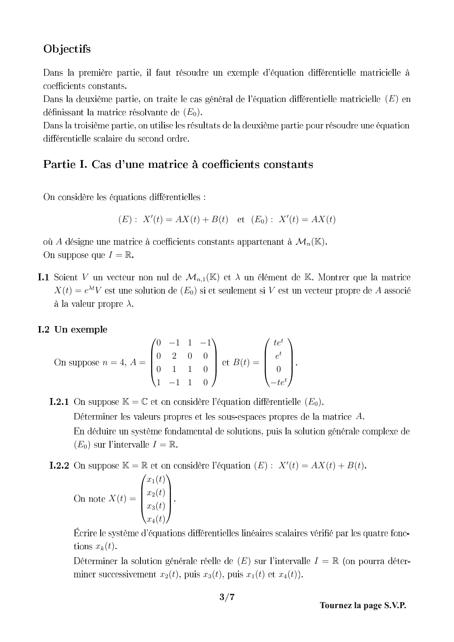# Objectifs

Dans la première partie, il faut résoudre un exemple d'équation différentielle matricielle à coefficients constants.

Dans la deuxième partie, on traite le cas général de l'équation différentielle matricielle  $(E)$  en définissant la matrice résolvante de  $(E_0)$ .

Dans la troisième partie, on utilise les résultats de la deuxième partie pour résoudre une équation différentielle scalaire du second ordre.

# Partie I. Cas d'une matrice à coefficients constants

On considère les équations différentielles :

$$
(E): X'(t) = AX(t) + B(t) \text{ et } (E_0): X'(t) = AX(t)
$$

où A désigne une matrice à coefficients constants appartenant à  $\mathcal{M}_n(\mathbb{K})$ . On suppose que  $I = \mathbb{R}$ .

**I.1** Soient V un vecteur non nul de  $\mathcal{M}_{n,1}(\mathbb{K})$  et  $\lambda$  un élément de K. Montrer que la matrice  $X(t) = e^{\lambda t} V$  est une solution de  $(E_0)$  si et seulement si V est un vecteur propre de A  $\lambda$  a la valeur propre  $\lambda$ .

### I.2 Un exemple

On suppose 
$$
n = 4
$$
,  $A = \begin{pmatrix} 0 & -1 & 1 & -1 \\ 0 & 2 & 0 & 0 \\ 0 & 1 & 1 & 0 \\ 1 & -1 & 1 & 0 \end{pmatrix}$  et  $B(t) = \begin{pmatrix} te^t \\ e^t \\ 0 \\ -te^t \end{pmatrix}$ .

**I.2.1** On suppose  $\mathbb{K} = \mathbb{C}$  et on considère l'équation différentielle  $(E_0)$ . Déterminer les valeurs propres et les sous-espaces propres de la matrice A. En déduire un système fondamental de solutions, puis la solution générale complexe de  $(E_0)$  sur l'intervalle  $I = \mathbb{R}$ .

 $\mathbb{K} = \mathbb{R}$  et on considère l'équation  $(E)$ :  $X'(t) = AX(t) + B(t)$ 

On note 
$$
X(t) = \begin{pmatrix} x_1(t) \\ x_2(t) \\ x_3(t) \\ x_4(t) \end{pmatrix}
$$
.

Écrire le système d'équations différentielles linéaires scalaires vérifié par les quatre fonctions  $x_k(t)$ .

Déterminer la solution générale réelle de  $(E)$  sur l'intervalle  $I = \mathbb{R}$  (on pourra déterminer successivement  $x_2(t)$ , puis  $x_3(t)$ , puis  $x_1(t)$  et  $x_4(t)$ ).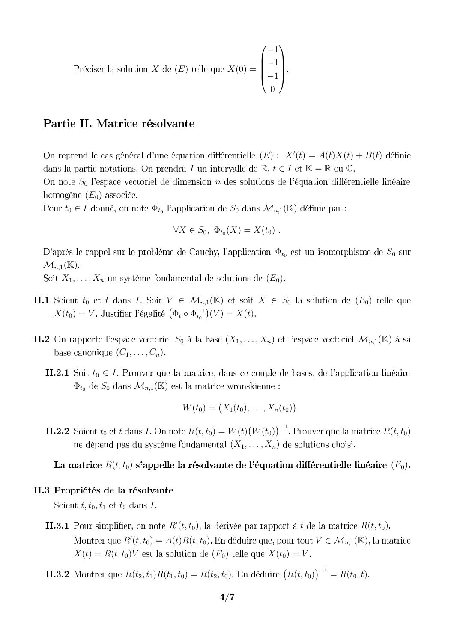X de  $(E)$  telle que  $X(0) =$  $\sqrt{ }$  $\overline{\phantom{a}}$ −1 −1 −1 0  $\setminus$  $\Bigg\}$ 

### Partie II. Matrice résolvante

 $(E): X'(t) = A(t)X(t) + B(t)$ dans la partie notations. On prendra I un intervalle de  $\mathbb{R}, t \in I$  et  $\mathbb{K} = \mathbb{R}$  ou  $\mathbb{C}$ .

On note  $S_0$  l'espace vectoriel de dimension n des solutions de l'équation différentielle linéaire homogène  $(E_0)$  associée.

Pour  $t_0 \in I$  donné, on note  $\Phi_{t_0}$  l'application de  $S_0$  dans  $\mathcal{M}_{n,1}(\mathbb{K})$  définie par :

$$
\forall X \in S_0, \ \Phi_{t_0}(X) = X(t_0) \ .
$$

D'après le rappel sur le problème de Cauchy, l'application  $\Phi_{t_0}$  est un isomorphisme de  $S_0$  sur  $\mathcal{M}_{n,1}(\mathbb{K}).$ 

Soit  $X_1, \ldots, X_n$  un système fondamental de solutions de  $(E_0)$ .

- **II.1** Soient  $t_0$  et  $t$  dans  $I$ . Soit  $V \in \mathcal{M}_{n,1}(\mathbb{K})$  et soit  $X \in S_0$  la solution de  $(E_0)$  telle que  $X(t_0) = V$ . Justifier l'égalité  $(\Phi_t \circ \Phi_{t_0}^{-1})$  $_{t_{0}}^{-1}(V) = X(t)$
- **II.2** On rapporte l'espace vectoriel  $S_0$  à la base  $(X_1, \ldots, X_n)$  et l'espace vectoriel  $\mathcal{M}_{n,1}(\mathbb{K})$  à sa base canonique  $(C_1, \ldots, C_n)$ .
	- **II.2.1** Soit  $t_0 \in I$ . Prouver que la matrice, dans ce couple de bases, de l'application linéaire  $\Phi_{t_0}$  de  $S_0$  dans  $\mathcal{M}_{n,1}(\mathbb{K})$  est la matrice wronskienne:

$$
W(t_0) = (X_1(t_0), \ldots, X_n(t_0)) \; .
$$

 $t_0$  et t dans I. On note  $R(t, t_0) = W(t) (W(t_0))^{-1}$ . Prouver que la matrice  $R(t, t_0)$ ne dépend pas du système fondamental  $(X_1, \ldots, X_n)$  de solutions choisi.

La matrice  $R(t, t_0)$  s'appelle la résolvante de l'équation différentielle linéaire  $(E_0)$ .

#### II.3 Propriétés de la résolvante

Soient  $t, t_0, t_1$  et  $t_2$  dans I.

 $R'(t, t_0)$ , la dérivée par rapport à t de la matrice  $R(t, t_0)$  $R'(t,t_0) = A(t)R(t,t_0)$ . En déduire que, pour tout  $V \in \mathcal{M}_{n,1}(\mathbb{K})$  $X(t) = R(t, t_0)V$  est la solution de  $(E_0)$  telle que  $X(t_0) = V$ .

 $R(t_2, t_1)R(t_1, t_0) = R(t_2, t_0)$ . En déduire  $(R(t, t_0))^{-1} = R(t_0, t)$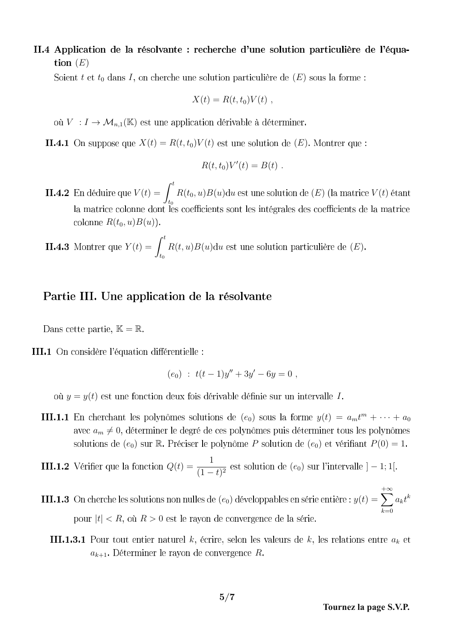II.4 Application de la résolvante : recherche d'une solution particulière de l'équation  $(E)$ 

Soient t et  $t_0$  dans I, on cherche une solution particulière de  $(E)$  sous la forme:

$$
X(t) = R(t, t_0)V(t) ,
$$

où  $V : I \to \mathcal{M}_{n,1}(\mathbb{K})$  est une application dérivable à déterminer.

**II.4.1** On suppose que  $X(t) = R(t, t_0)V(t)$  est une solution de  $(E)$ . Montrer que :

$$
R(t,t_0)V'(t) = B(t) .
$$

 $V(t) = \int_0^t$  $t_0$  $R(t_0, u)B(u)du$  est une solution de  $(E)$  (la matrice  $V(t)$ ) colonne  $R(t_0, u)B(u)$ .

**II.4.3** Montrer que 
$$
Y(t) = \int_{t_0}^t R(t, u)B(u)du
$$
 est une solution particulière de  $(E)$ .

#### Partie III. Une application de la résolvante

Dans cette partie,  $\mathbb{K} = \mathbb{R}$ .

III.1 On considère l'équation différentielle :

$$
(e_0) : t(t-1)y'' + 3y' - 6y = 0,
$$

où  $y = y(t)$  est une fonction deux fois dérivable définie sur un intervalle I.

 $(e_0)$  sous la forme  $y(t) = a_m t^m + \cdots + a_0$ avec  $a_m \neq 0$ , déterminer le degré de ces polynômes puis déterminer tous les polynômes solutions de  $(e_0)$  sur R. Préciser le polynôme P solution de  $(e_0)$  et vérifiant  $P(0) = 1$ .

### $Q(t) = \frac{1}{(1 - t)^2}$  $\frac{1}{(1-t)^2}$  est solution de  $(e_0)$  sur l'intervalle  $]-1;1[$

 $(e_0)$  développables en série entière :  $y(t) = \sum$  $+\infty$  $k=0$  $a_k t^k$ pour  $|t| < R$ , où  $R > 0$  est le rayon de convergence de la série.

**III.1.3.1** Pour tout entier naturel k, écrire, selon les valeurs de k, les relations entre  $a_k$  et  $a_{k+1}$ . Déterminer le rayon de convergence R.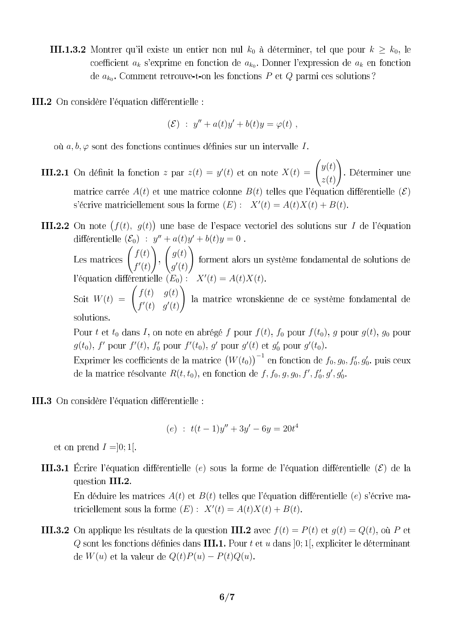- **III.1.3.2** Montrer qu'il existe un entier non nul  $k_0$  à déterminer, tel que pour  $k \geq k_0$ , le coefficient  $a_k$  s'exprime en fonction de  $a_{k_0}$ . Donner l'expression de  $a_k$  en fonction de  $a_{k_0}$ . Comment retrouve-t-on les fonctions P et Q parmi ces solutions?
- III.2 On considère l'équation différentielle :

$$
(\mathcal{E}) \; : \; y'' + a(t)y' + b(t)y = \varphi(t) \; ,
$$

où  $a, b, \varphi$  sont des fonctions continues définies sur un intervalle I.

z par  $z(t) = y'(t)$  et on note  $X(t) = \begin{pmatrix} y(t) \\ y(t) \end{pmatrix}$  $z(t)$  $\setminus$ matrice carrée  $A(t)$  et une matrice colonne  $B(t)$  telles que l'équation différentielle  $(\mathcal{E})$  $(E): X'(t) = A(t)X(t) + B(t)$ 

 $(f(t), g(t))$  une base de l'espace vectoriel des solutions sur I  $(\mathcal{E}_0)$  :  $y'' + a(t)y' + b(t)y = 0$  $\int f(t)$  $\int g(t)$  $\setminus$  $f'(t)$  $g'(t)$ l'équation différentielle  $(E_0)$ :  $X'(t) = A(t)X(t)$ .  $(t) = A(t)X(t)$  $W(t) = \begin{pmatrix} f(t) & g(t) \ g'(t) & f(t) \end{pmatrix}$  $\setminus$  $f'(t)$   $g'(t)$ solutions.

Pour t et  $t_0$  dans I, on note en abrégé f pour  $f(t)$ ,  $f_0$  pour  $f(t_0)$ , g pour  $g(t)$ ,  $g_0$  pour  $g(t_0)$ , f' pour  $f'(t)$ ,  $f'_0$  pour  $f'(t_0)$ , g' pour  $g'(t)$  et  $g'_0$  pour  $g'(t_0)$ 

 $(W(t_0))^{-1}$  en fonction de  $f_0, g_0, f'_0, g'_0$  $R(t, t_0)$ , en fonction de f, f<sub>0</sub>, g, g<sub>0</sub>, f', f'<sub>0</sub>, g', g'<sub>0</sub>

III.3 On considère l'équation différentielle :

$$
(e) : t(t-1)y'' + 3y' - 6y = 20t^4
$$

et on prend  $I = ]0;1[$ .

**III.3.1** Écrire l'équation différentielle (e) sous la forme de l'équation différentielle ( $\mathcal{E}$ ) de la question III.2.

En déduire les matrices  $A(t)$  et  $B(t)$  telles que l'équation différentielle (e) s'écrive ma- $(E): X'(t) = A(t)X(t) + B(t)$ 

**III.3.2** On applique les résultats de la question **III.2** avec  $f(t) = P(t)$  et  $q(t) = Q(t)$ , où P et  $Q$  sont les fonctions définies dans III.1. Pour  $t$  et  $u$  dans  $[0; 1]$ , expliciter le déterminant de  $W(u)$  et la valeur de  $Q(t)P(u) - P(t)Q(u)$ .